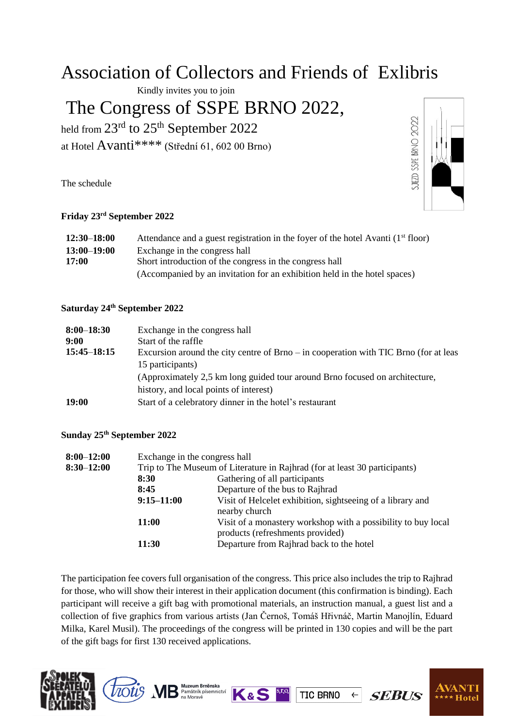# Association of Collectors and Friends of Exlibris

Kindly invites you to join

# The Congress of SSPE BRNO 2022,

held from  $23<sup>rd</sup>$  to  $25<sup>th</sup>$  September 2022 at Hotel Avanti\*\*\*\* (Střední 61, 602 00 Brno)

The schedule



### **Friday 23rd September 2022**

| $12:30 - 18:00$ | Attendance and a guest registration in the foyer of the hotel Avanti (1 <sup>st</sup> floor) |  |  |
|-----------------|----------------------------------------------------------------------------------------------|--|--|
| $13:00 - 19:00$ | Exchange in the congress hall                                                                |  |  |
| <b>17:00</b>    | Short introduction of the congress in the congress hall                                      |  |  |
|                 | (Accompanied by an invitation for an exhibition held in the hotel spaces)                    |  |  |

#### **Saturday 24th September 2022**

| $8:00 - 18:30$   | Exchange in the congress hall                                                          |  |
|------------------|----------------------------------------------------------------------------------------|--|
| 9:00             | Start of the raffle                                                                    |  |
| $15:45 - 18:15$  | Excursion around the city centre of Brno $-$ in cooperation with TIC Brno (for at leas |  |
| 15 participants) |                                                                                        |  |
|                  | (Approximately 2,5 km long guided tour around Brno focused on architecture,            |  |
|                  | history, and local points of interest)                                                 |  |
| <b>19:00</b>     | Start of a celebratory dinner in the hotel's restaurant                                |  |

### **Sunday 25th September 2022**

| $8:00 - 12:00$ | Exchange in the congress hall                                              |                                                                                                   |  |
|----------------|----------------------------------------------------------------------------|---------------------------------------------------------------------------------------------------|--|
| $8:30 - 12:00$ | Trip to The Museum of Literature in Rajhrad (for at least 30 participants) |                                                                                                   |  |
|                | 8:30                                                                       | Gathering of all participants                                                                     |  |
|                | 8:45                                                                       | Departure of the bus to Rajhrad                                                                   |  |
|                | $9:15 - 11:00$                                                             | Visit of Helcelet exhibition, sightseeing of a library and<br>nearby church                       |  |
|                | 11:00                                                                      | Visit of a monastery workshop with a possibility to buy local<br>products (refreshments provided) |  |
|                | 11:30                                                                      | Departure from Rajhrad back to the hotel                                                          |  |

The participation fee covers full organisation of the congress. This price also includes the trip to Rajhrad for those, who will show their interest in their application document (this confirmation is binding). Each participant will receive a gift bag with promotional materials, an instruction manual, a guest list and a collection of five graphics from various artists (Jan Černoš, Tomáš Hřivnáč, Martin Manojlín, Eduard Milka, Karel Musil). The proceedings of the congress will be printed in 130 copies and will be the part of the gift bags for first 130 received applications.

**TIC BRNO** 

 $\leftarrow$ 

**SEBUS**